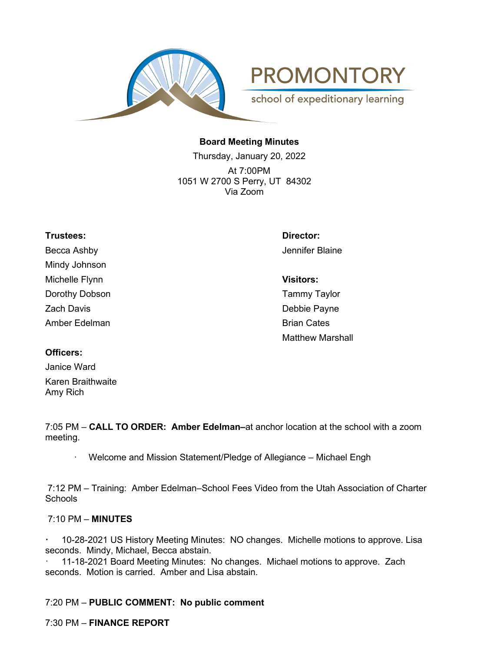

**PROMONTORY** 

school of expeditionary learning

## **Board Meeting Minutes**

Thursday, January 20, 2022 At 7:00PM 1051 W 2700 S Perry, UT 84302 Via Zoom

Becca Ashby Jennifer Blaine Mindy Johnson Michelle Flynn **Visitors:** Dorothy Dobson **Tammy Taylor** Zach Davis **Debbie Payne** Amber Edelman Brian Cates

**Trustees: Director:**

Matthew Marshall

### **Officers:**

Janice Ward Karen Braithwaite Amy Rich

7:05 PM – **CALL TO ORDER: Amber Edelman–**at anchor location at the school with a zoom meeting.

Welcome and Mission Statement/Pledge of Allegiance – Michael Engh

7:12 PM – Training: Amber Edelman–School Fees Video from the Utah Association of Charter **Schools** 

### 7:10 PM – **MINUTES**

**·** 10-28-2021 US History Meeting Minutes: NO changes. Michelle motions to approve. Lisa seconds. Mindy, Michael, Becca abstain.

· 11-18-2021 Board Meeting Minutes: No changes. Michael motions to approve. Zach seconds. Motion is carried. Amber and Lisa abstain.

7:20 PM – **PUBLIC COMMENT: No public comment**

7:30 PM – **FINANCE REPORT**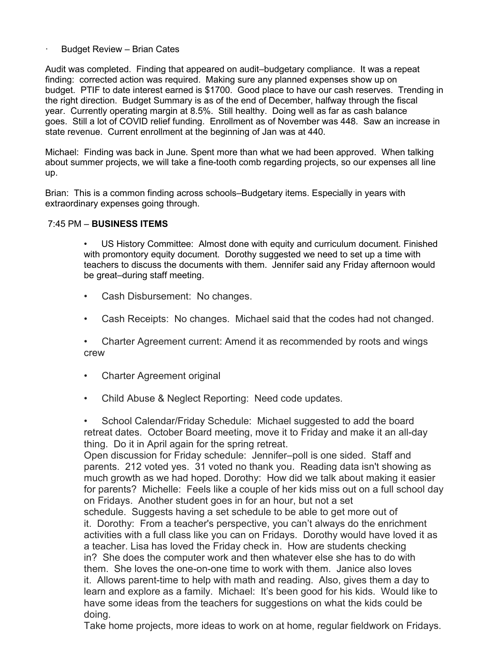### Budget Review - Brian Cates

Audit was completed. Finding that appeared on audit–budgetary compliance. It was a repeat finding: corrected action was required. Making sure any planned expenses show up on budget. PTIF to date interest earned is \$1700. Good place to have our cash reserves. Trending in the right direction. Budget Summary is as of the end of December, halfway through the fiscal year. Currently operating margin at 8.5%. Still healthy. Doing well as far as cash balance goes. Still a lot of COVID relief funding. Enrollment as of November was 448. Saw an increase in state revenue. Current enrollment at the beginning of Jan was at 440.

Michael: Finding was back in June. Spent more than what we had been approved. When talking about summer projects, we will take a fine-tooth comb regarding projects, so our expenses all line up.

Brian: This is a common finding across schools–Budgetary items. Especially in years with extraordinary expenses going through.

#### 7:45 PM – **BUSINESS ITEMS**

• US History Committee: Almost done with equity and curriculum document. Finished with promontory equity document. Dorothy suggested we need to set up a time with teachers to discuss the documents with them. Jennifer said any Friday afternoon would be great–during staff meeting.

- Cash Disbursement: No changes.
- Cash Receipts: No changes. Michael said that the codes had not changed.

• Charter Agreement current: Amend it as recommended by roots and wings crew

- Charter Agreement original
- Child Abuse & Neglect Reporting: Need code updates.

• School Calendar/Friday Schedule: Michael suggested to add the board retreat dates. October Board meeting, move it to Friday and make it an all-day thing. Do it in April again for the spring retreat.

Open discussion for Friday schedule: Jennifer–poll is one sided. Staff and parents. 212 voted yes. 31 voted no thank you. Reading data isn't showing as much growth as we had hoped. Dorothy: How did we talk about making it easier for parents? Michelle: Feels like a couple of her kids miss out on a full school day on Fridays. Another student goes in for an hour, but not a set schedule. Suggests having a set schedule to be able to get more out of

it. Dorothy: From a teacher's perspective, you can't always do the enrichment activities with a full class like you can on Fridays. Dorothy would have loved it as a teacher. Lisa has loved the Friday check in. How are students checking in? She does the computer work and then whatever else she has to do with them. She loves the one-on-one time to work with them. Janice also loves it. Allows parent-time to help with math and reading. Also, gives them a day to learn and explore as a family. Michael: It's been good for his kids. Would like to have some ideas from the teachers for suggestions on what the kids could be doing.

Take home projects, more ideas to work on at home, regular fieldwork on Fridays.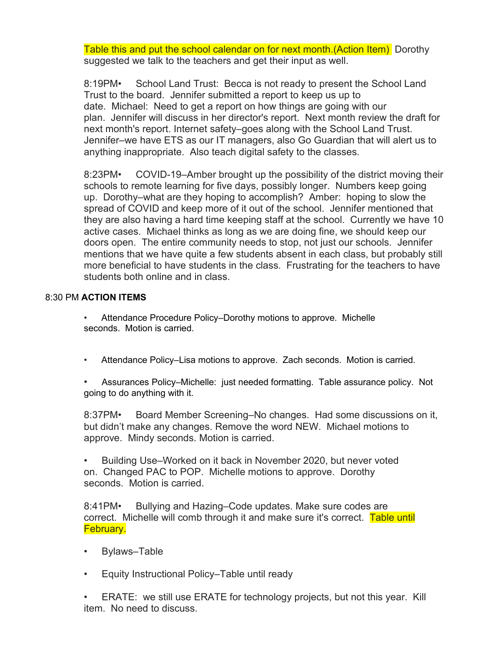Table this and put the school calendar on for next month.(Action Item) Dorothy suggested we talk to the teachers and get their input as well.

8:19PM• School Land Trust: Becca is not ready to present the School Land Trust to the board. Jennifer submitted a report to keep us up to date. Michael: Need to get a report on how things are going with our plan. Jennifer will discuss in her director's report. Next month review the draft for next month's report. Internet safety–goes along with the School Land Trust. Jennifer–we have ETS as our IT managers, also Go Guardian that will alert us to anything inappropriate. Also teach digital safety to the classes.

8:23PM• COVID-19–Amber brought up the possibility of the district moving their schools to remote learning for five days, possibly longer. Numbers keep going up. Dorothy–what are they hoping to accomplish? Amber: hoping to slow the spread of COVID and keep more of it out of the school. Jennifer mentioned that they are also having a hard time keeping staff at the school. Currently we have 10 active cases. Michael thinks as long as we are doing fine, we should keep our doors open. The entire community needs to stop, not just our schools. Jennifer mentions that we have quite a few students absent in each class, but probably still more beneficial to have students in the class. Frustrating for the teachers to have students both online and in class.

# 8:30 PM **ACTION ITEMS**

- Attendance Procedure Policy–Dorothy motions to approve. Michelle seconds. Motion is carried.
- Attendance Policy–Lisa motions to approve. Zach seconds. Motion is carried.

• Assurances Policy–Michelle: just needed formatting. Table assurance policy. Not going to do anything with it.

8:37PM• Board Member Screening–No changes. Had some discussions on it, but didn't make any changes. Remove the word NEW. Michael motions to approve. Mindy seconds. Motion is carried.

• Building Use–Worked on it back in November 2020, but never voted on. Changed PAC to POP. Michelle motions to approve. Dorothy seconds. Motion is carried.

8:41PM• Bullying and Hazing–Code updates. Make sure codes are correct. Michelle will comb through it and make sure it's correct. Table until February.

- Bylaws–Table
- Equity Instructional Policy–Table until ready

• ERATE: we still use ERATE for technology projects, but not this year. Kill item. No need to discuss.